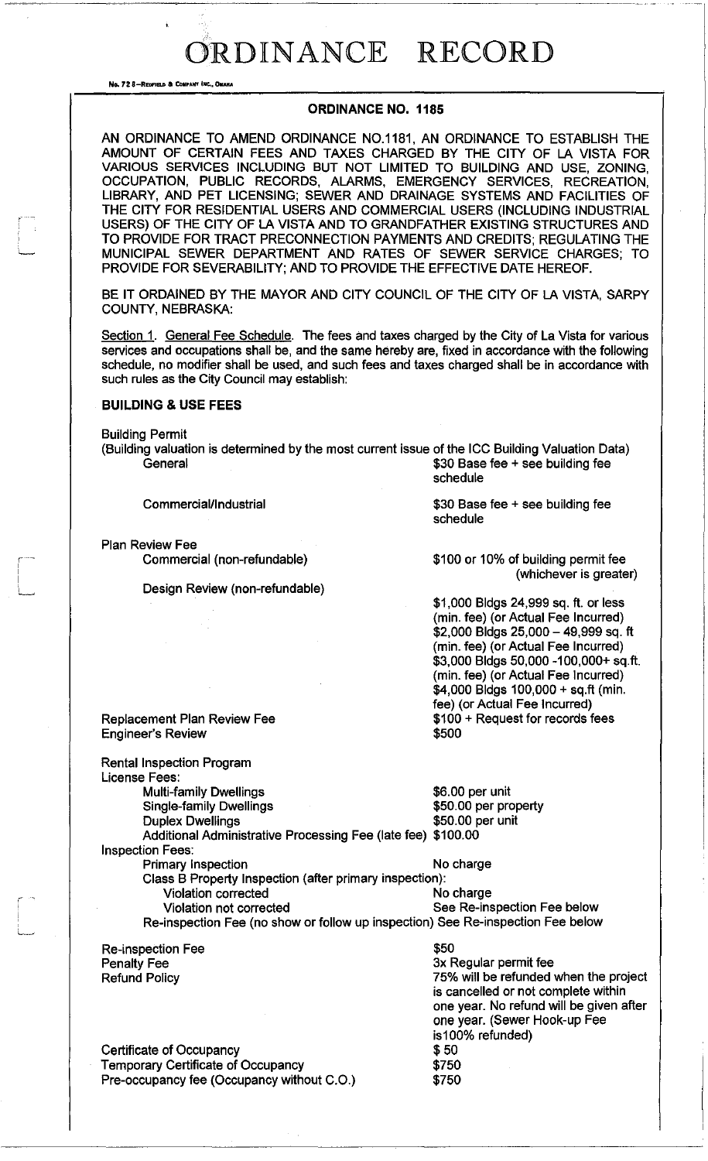No. 72 8-REGEVELD & COMPANY INC., OMANA

#### ORDINANCE NO. 1185

~~~----~-~~---~--------------------- -----\_.\_.- \_.

AN ORDINANCE TO AMEND ORDINANCE NO.1181, AN ORDINANCE TO ESTABLISH THE AMOUNT OF CERTAIN FEES AND TAXES CHARGED BY THE CITY OF LA VISTA FOR VARIOUS SERVICES INCLUDING BUT NOT LIMITED TO BUILDING AND USE, ZONING, OCCUPATION, PUBLIC RECORDS, ALARMS, EMERGENCY SERVICES, RECREATION, LIBRARY, AND PET LICENSING; SEWER AND DRAINAGE SYSTEMS AND FACILITIES OF THE CITY FOR RESIDENTIAL USERS AND COMMERCIAL USERS (INCLUDING INDUSTRIAL USERS) OF THE CITY OF LA VISTA AND TO GRANDFATHER EXISTING STRUCTURES AND TO PROVIDE FOR TRACT PRECONNECTION PAYMENTS AND CREDITS; REGULATING THE MUNICIPAL SEWER DEPARTMENT AND RATES OF SEWER SERVICE CHARGES; TO PROVIDE FOR SEVERABILITY; AND TO PROVIDE THE EFFECTIVE DATE HEREOF.

BE IT ORDAINED BY THE MAYOR AND CITY COUNCIL OF THE CITY OF LA VISTA, SARPY COUNTY, NEBRASKA:

Section 1. General Fee Schedule. The fees and taxes charged by the City of La Vista for various services and occupations shall be, and the same hereby are, fixed in accordance with the following schedule, no modifier shall be used, and such fees and taxes charged shall be in accordance with such rules as the City Council may establish:

#### BUILDING & USE FEES

Building Permit

*r------*

.<br>استنب**ا** 

r----

L

(Building valuation is determined by the most current issue of the ICC Building Valuation Data) General **60 General** \$30 Base fee + see building fee schedule

Commercial/Industrial

Plan Review Fee

Commercial (non-refundable)

Design Review (non-refundable)

\$30 Base fee + see building fee schedule

\$100 or 10% of building permit fee (whichever is greater)

\$1,000 Bldgs 24,999 sq. ft. or less (min. fee) (or Actual Fee Incurred) \$2,000 Bldgs 25,000 - 49,999 sq. ft (min. fee) (or Actual Fee Incurred) \$3,000 Bldgs 50,000 -100,000+ sq.ft. (min. fee) (or Actual Fee Incurred) \$4,000 Bldgs 100,000 + sq.ft (min. fee) (or Actual Fee Incurred) \$100 + Request for records fees \$500

Replacement Plan Review Fee Engineer's Review

Rental Inspection Program

License Fees: Multi-family Dwellings<br>
Single-family Dwellings<br>
\$50.00 per property Single-family Dwellings

Duplex Dwellings **\$50.00 per unit** 

Additional Administrative Processing Fee (late fee) \$100.00 Inspection Fees:

Primary Inspection No charge Class B Property Inspection (after primary inspection): Violation corrected No charge Violation not corrected See Re-inspection Fee below

Re-inspection Fee (no show or follow up inspection) See Re-inspection Fee below

Re-inspection Fee Penalty Fee Refund Policy

\$50 3x Regular permit fee 75% will be refunded when the project is cancelled or not complete within one year. No refund will be given after one year. (Sewer Hook-up Fee is100% refunded) \$50 \$750 \$750

Certificate of Occupancy Temporary Certificate of Occupancy Pre-occupancy fee (Occupancy without C.O.)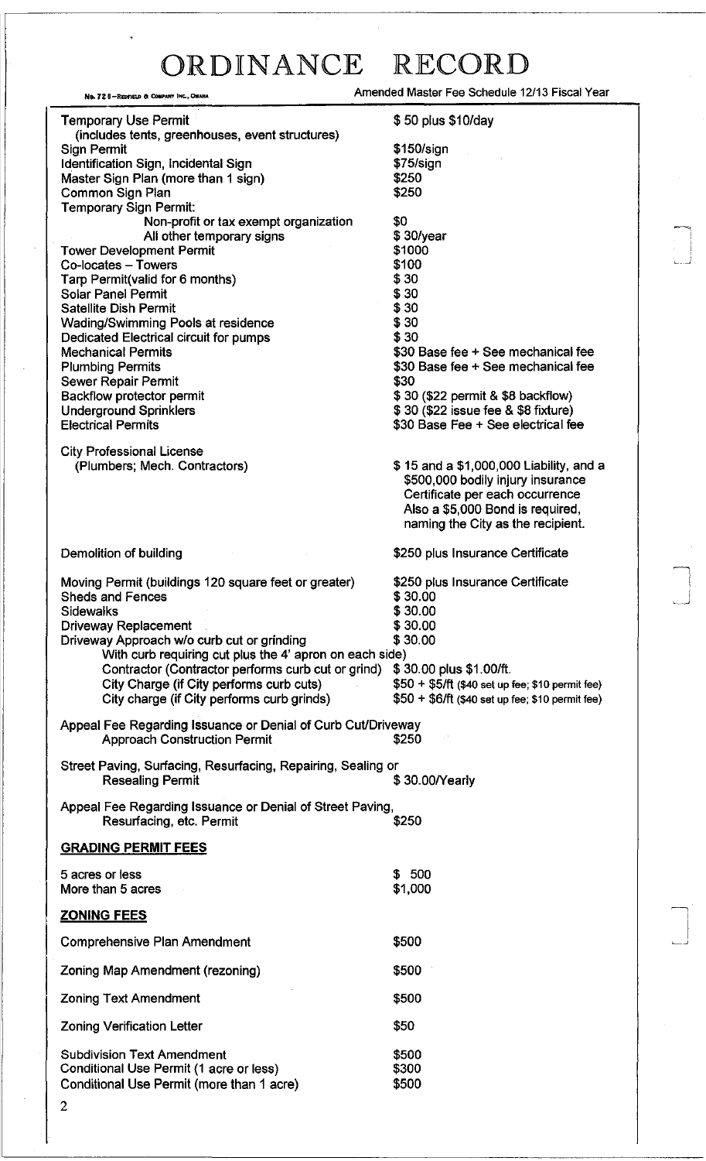~, i

~ I  $\Box$ 

| No. 72 8-REDFIELD & COMPANY INC., OMAHA                                                             | Amended Master Fee Schedule 12/13 Fiscal Year    |
|-----------------------------------------------------------------------------------------------------|--------------------------------------------------|
| <b>Temporary Use Permit</b><br>(includes tents, greenhouses, event structures)                      | \$50 plus \$10/day                               |
| Sign Permit                                                                                         | \$150/sign                                       |
| Identification Sign, Incidental Sign                                                                | \$75/sign                                        |
| Master Sign Plan (more than 1 sign)                                                                 | \$250                                            |
| Common Sign Plan                                                                                    | \$250                                            |
| <b>Temporary Sign Permit:</b>                                                                       |                                                  |
| Non-profit or tax exempt organization                                                               | \$0                                              |
| All other temporary signs                                                                           | \$30/year                                        |
| <b>Tower Development Permit</b>                                                                     | \$1000                                           |
| Co-locates - Towers                                                                                 | \$100                                            |
| Tarp Permit(valid for 6 months)                                                                     | \$30                                             |
| <b>Solar Panel Permit</b><br><b>Satellite Dish Permit</b>                                           | \$30<br>\$30                                     |
| Wading/Swimming Pools at residence                                                                  | \$30                                             |
| Dedicated Electrical circuit for pumps                                                              | \$30                                             |
| <b>Mechanical Permits</b>                                                                           | \$30 Base fee + See mechanical fee               |
| <b>Plumbing Permits</b>                                                                             | \$30 Base fee + See mechanical fee               |
| Sewer Repair Permit                                                                                 | \$30                                             |
| <b>Backflow protector permit</b>                                                                    | \$30 (\$22 permit & \$8 backflow)                |
| <b>Underground Sprinklers</b>                                                                       | \$30 (\$22 issue fee & \$8 fixture)              |
| <b>Electrical Permits</b>                                                                           | \$30 Base Fee + See electrical fee               |
|                                                                                                     |                                                  |
| <b>City Professional License</b>                                                                    | \$15 and a \$1,000,000 Liability, and a          |
| (Plumbers; Mech. Contractors)                                                                       | \$500,000 bodily injury insurance                |
|                                                                                                     | Certificate per each occurrence                  |
|                                                                                                     | Also a \$5,000 Bond is required,                 |
|                                                                                                     | naming the City as the recipient.                |
|                                                                                                     |                                                  |
| Demolition of building                                                                              | \$250 plus Insurance Certificate                 |
| Moving Permit (buildings 120 square feet or greater)                                                | \$250 plus Insurance Certificate                 |
| <b>Sheds and Fences</b>                                                                             | \$30.00                                          |
| <b>Sidewalks</b>                                                                                    | \$30.00                                          |
| <b>Driveway Replacement</b>                                                                         | \$30.00                                          |
| Driveway Approach w/o curb cut or grinding                                                          | \$30.00                                          |
| With curb requiring cut plus the 4' apron on each side)                                             |                                                  |
| Contractor (Contractor performs curb cut or grind)                                                  | \$30.00 plus \$1,00/ft.                          |
| City Charge (if City performs curb cuts)                                                            | \$50 + \$5/ft (\$40 set up fee; \$10 permit fee) |
| City charge (if City performs curb grinds)                                                          | \$50 + \$6/ft (\$40 set up fee; \$10 permit fee) |
| Appeal Fee Regarding Issuance or Denial of Curb Cut/Driveway<br><b>Approach Construction Permit</b> | \$250                                            |
|                                                                                                     |                                                  |
| Street Paving, Surfacing, Resurfacing, Repairing, Sealing or                                        |                                                  |
| <b>Resealing Permit</b>                                                                             | \$30.00/Yearly                                   |
| Appeal Fee Regarding Issuance or Denial of Street Paving,                                           |                                                  |
| Resurfacing, etc. Permit                                                                            | \$250                                            |
|                                                                                                     |                                                  |
| <b>GRADING PERMIT FEES</b>                                                                          |                                                  |
| 5 acres or less                                                                                     | \$ 500                                           |
| More than 5 acres                                                                                   | \$1,000                                          |
|                                                                                                     |                                                  |
| <b>ZONING FEES</b>                                                                                  |                                                  |
| <b>Comprehensive Plan Amendment</b>                                                                 | \$500                                            |
| Zoning Map Amendment (rezoning)                                                                     | \$500                                            |
| <b>Zoning Text Amendment</b>                                                                        | \$500                                            |
| <b>Zoning Verification Letter</b>                                                                   | \$50                                             |
| <b>Subdivision Text Amendment</b>                                                                   | \$500                                            |
| Conditional Use Permit (1 acre or less)                                                             | \$300                                            |
| Conditional Use Permit (more than 1 acre)                                                           | \$500                                            |
| $\overline{2}$                                                                                      |                                                  |
|                                                                                                     |                                                  |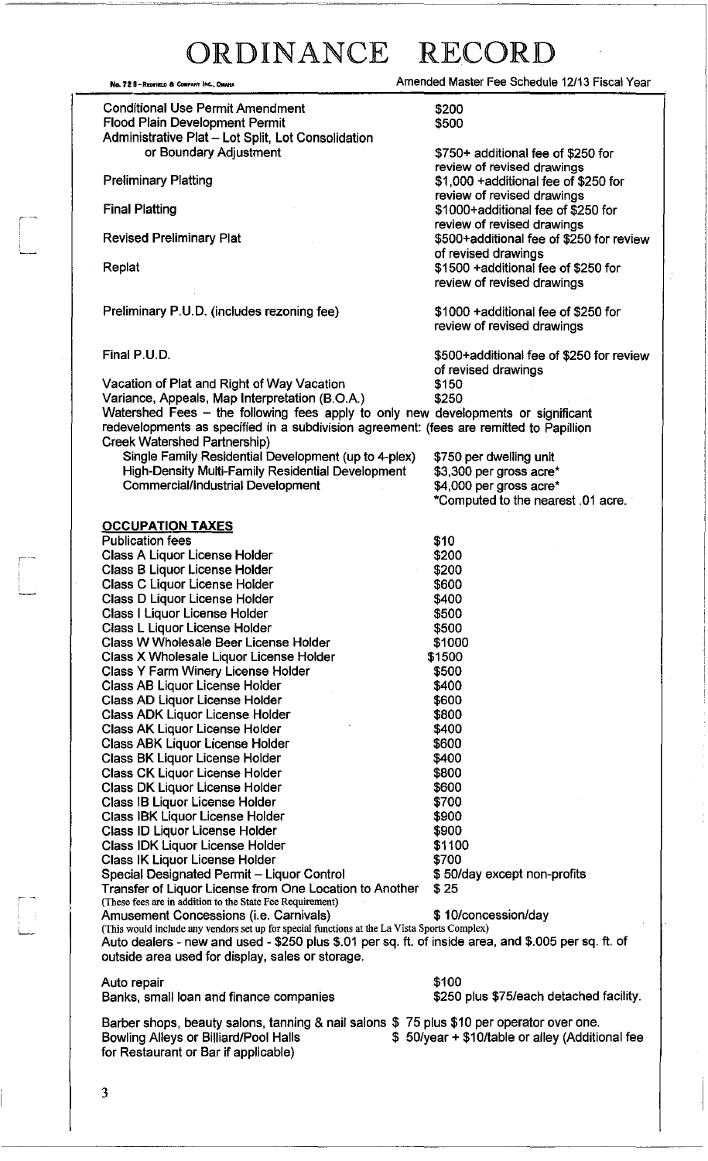Conditional Use Permit Amendment Flood Plain Development Permit Administrative Plat - Lot Split, Lot Consolidation or Boundary Adjustment

Preliminary Platting

Final Platting

Revised Preliminary Plat

Replat

,-

r~

'-

Preliminary P.U.D. (includes rezoning fee)

Final P.U.D.

Vacation of Plat and Right of Way Vacation Variance, Appeals, Map Interpretation (B.O.A.) \$250 Watershed Fees - the following fees apply to only new developments or significant redevelopments as specified in a subdivision agreement: (fees are remitted to Papillion Creek Watershed Partnership) Single Family Residential Development (up to 4-plex)

High-Density Multi-Family Residential Development Commercial/Industrial Development

#### **OCCUPATION TAXES**

Publication fees Class A Liquor License Holder Class B Liquor License Holder Class C Liquor License Holder Class D Liquor License Holder Class I Liquor License Holder Class L Liquor License Holder Class W Wholesale Beer License Holder Class X Wholesale Liquor License Holder Class Y Farm Winery License Holder Class AB Liquor License Holder Class AD Liquor License Holder Class ADK Liquor License Holder Class AK Liquor License Holder Class ABK Liquor License Holder Class BK Liquor License Holder Class CK Liquor License Holder Class DK Liquor License Holder Class IB Liquor License Holder Class IBK Liquor License Holder Class ID Liquor License Holder Class IDK Liquor License Holder Class IK Liquor License Holder Special Designated Permit - Liquor Control Transfer of Liquor License from One Location to Another (These fees are in addition to the State Fee Requirement) \$10 \$200 \$200 \$600 \$400 \$500 \$500 \$1000 \$1500 \$500 \$400 \$600 \$800 \$400 \$600 \$400 \$800 \$600 \$700 \$900 \$900 \$1100 \$700 \$ 50/day except non-profits \$25 Amusement Concessions (i.e. Carnivals)  $$10$ /concession/day

(This would include any vendors set up for special functions at the La Vista Sports Complex)

No. 72 B-R",,'" • Coo"" "'. """" Amended Master Fee Schedule 12/13 Fiscal Year

\$200 \$500

\$750+ additional fee of \$250 for review of revised drawings \$1,000 +additional fee of \$250 for review of revised drawings \$1000+additional fee of \$250 for review of revised drawings \$500+additional fee of \$250 for review of revised drawings \$1500 +additional fee of \$250 for review of revised drawings

\$1000 +additional fee of \$250 for review of revised drawings

\$500+additional fee of \$250 for review of revised drawings<br>\$150

\$750 per dwelling unit \$3,300 per gross acre\* \$4,000 per gross acre\* \*Computed to the nearest .01 acre.

Auto repair \$100 Banks, small loan and finance companies  $$250$  plus \$75/each detached facility.

outside area used for display, sales or storage.

Barber shops, beauty salons, tanning & nail salons \$ 75 plus \$10 per operator over one. Bowling Alleys or Billiard/Pool Halls **\$** 50/year + \$10/table or alley (Additional fee for Restaurant or Bar if applicable)

Auto dealers - new and used - \$250 plus \$.01 per sq. ft. of inside area, and \$.005 per sq. ft. of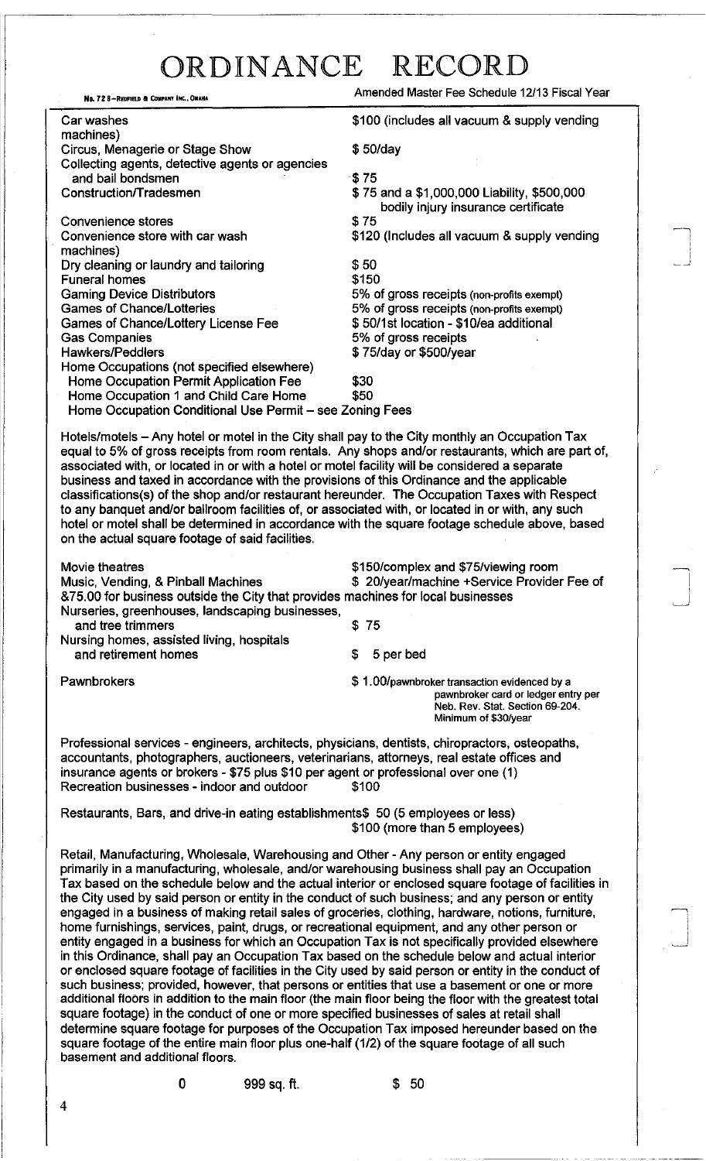Amended Master Fee Schedule 12/13 Fiscal Year

~ ! , i ~-'

~  $\vert$ . است.

i ~J

| No. 72 8-REDFIELD & COMPANY INC., OMAHA                                                                                                                                                                                                                                                                                                                                                                                                                                                                                                                                                                                                                                                                                                                                                                                                                                                                                                                                                                                                                                                                                                                                                                                                                                                                                                                                                                                                                           | Amended Master Fee Schedule 12/13 Fiscal Year                                                                                                                                                       |
|-------------------------------------------------------------------------------------------------------------------------------------------------------------------------------------------------------------------------------------------------------------------------------------------------------------------------------------------------------------------------------------------------------------------------------------------------------------------------------------------------------------------------------------------------------------------------------------------------------------------------------------------------------------------------------------------------------------------------------------------------------------------------------------------------------------------------------------------------------------------------------------------------------------------------------------------------------------------------------------------------------------------------------------------------------------------------------------------------------------------------------------------------------------------------------------------------------------------------------------------------------------------------------------------------------------------------------------------------------------------------------------------------------------------------------------------------------------------|-----------------------------------------------------------------------------------------------------------------------------------------------------------------------------------------------------|
| Car washes                                                                                                                                                                                                                                                                                                                                                                                                                                                                                                                                                                                                                                                                                                                                                                                                                                                                                                                                                                                                                                                                                                                                                                                                                                                                                                                                                                                                                                                        | \$100 (includes all vacuum & supply vending                                                                                                                                                         |
| machines)<br>Circus, Menagerie or Stage Show<br>Collecting agents, detective agents or agencies                                                                                                                                                                                                                                                                                                                                                                                                                                                                                                                                                                                                                                                                                                                                                                                                                                                                                                                                                                                                                                                                                                                                                                                                                                                                                                                                                                   | \$50/day                                                                                                                                                                                            |
| and bail bondsmen<br>Construction/Tradesmen                                                                                                                                                                                                                                                                                                                                                                                                                                                                                                                                                                                                                                                                                                                                                                                                                                                                                                                                                                                                                                                                                                                                                                                                                                                                                                                                                                                                                       | \$75<br>\$75 and a \$1,000,000 Liability, \$500,000<br>bodily injury insurance certificate                                                                                                          |
| <b>Convenience stores</b><br>Convenience store with car wash<br>machines)                                                                                                                                                                                                                                                                                                                                                                                                                                                                                                                                                                                                                                                                                                                                                                                                                                                                                                                                                                                                                                                                                                                                                                                                                                                                                                                                                                                         | \$75<br>\$120 (Includes all vacuum & supply vending                                                                                                                                                 |
| Dry cleaning or laundry and tailoring<br><b>Funeral homes</b><br><b>Gaming Device Distributors</b><br><b>Games of Chance/Lotteries</b><br>Games of Chance/Lottery License Fee<br><b>Gas Companies</b><br><b>Hawkers/Peddlers</b><br>Home Occupations (not specified elsewhere)                                                                                                                                                                                                                                                                                                                                                                                                                                                                                                                                                                                                                                                                                                                                                                                                                                                                                                                                                                                                                                                                                                                                                                                    | \$50<br>\$150<br>5% of gross receipts (non-profits exempt)<br>5% of gross receipts (non-profits exempt)<br>\$50/1st location - \$10/ea additional<br>5% of gross receipts<br>\$75/day or \$500/year |
| Home Occupation Permit Application Fee<br>Home Occupation 1 and Child Care Home<br>Home Occupation Conditional Use Permit - see Zoning Fees                                                                                                                                                                                                                                                                                                                                                                                                                                                                                                                                                                                                                                                                                                                                                                                                                                                                                                                                                                                                                                                                                                                                                                                                                                                                                                                       | \$30<br>\$50                                                                                                                                                                                        |
| Hotels/motels – Any hotel or motel in the City shall pay to the City monthly an Occupation Tax<br>equal to 5% of gross receipts from room rentals. Any shops and/or restaurants, which are part of,<br>associated with, or located in or with a hotel or motel facility will be considered a separate<br>business and taxed in accordance with the provisions of this Ordinance and the applicable<br>classifications(s) of the shop and/or restaurant hereunder. The Occupation Taxes with Respect<br>to any banquet and/or ballroom facilities of, or associated with, or located in or with, any such<br>hotel or motel shall be determined in accordance with the square footage schedule above, based<br>on the actual square footage of said facilities.                                                                                                                                                                                                                                                                                                                                                                                                                                                                                                                                                                                                                                                                                                    |                                                                                                                                                                                                     |
| Movie theatres<br>Music, Vending, & Pinball Machines<br>&75.00 for business outside the City that provides machines for local businesses                                                                                                                                                                                                                                                                                                                                                                                                                                                                                                                                                                                                                                                                                                                                                                                                                                                                                                                                                                                                                                                                                                                                                                                                                                                                                                                          | \$150/complex and \$75/viewing room<br>\$ 20/year/machine +Service Provider Fee of                                                                                                                  |
| Nurseries, greenhouses, landscaping businesses,<br>and tree trimmers                                                                                                                                                                                                                                                                                                                                                                                                                                                                                                                                                                                                                                                                                                                                                                                                                                                                                                                                                                                                                                                                                                                                                                                                                                                                                                                                                                                              | \$75                                                                                                                                                                                                |
| Nursing homes, assisted living, hospitals<br>and retirement homes                                                                                                                                                                                                                                                                                                                                                                                                                                                                                                                                                                                                                                                                                                                                                                                                                                                                                                                                                                                                                                                                                                                                                                                                                                                                                                                                                                                                 | \$<br>5 per bed                                                                                                                                                                                     |
| Pawnbrokers                                                                                                                                                                                                                                                                                                                                                                                                                                                                                                                                                                                                                                                                                                                                                                                                                                                                                                                                                                                                                                                                                                                                                                                                                                                                                                                                                                                                                                                       | \$1.00/pawnbroker transaction evidenced by a<br>pawnbroker card or ledger entry per<br>Neb. Rev. Stat. Section 69-204.<br>Minimum of \$30/year                                                      |
| Professional services - engineers, architects, physicians, dentists, chiropractors, osteopaths,<br>accountants, photographers, auctioneers, veterinarians, attorneys, real estate offices and<br>insurance agents or brokers - \$75 plus \$10 per agent or professional over one (1)<br>Recreation businesses - indoor and outdoor                                                                                                                                                                                                                                                                                                                                                                                                                                                                                                                                                                                                                                                                                                                                                                                                                                                                                                                                                                                                                                                                                                                                | \$100                                                                                                                                                                                               |
| Restaurants, Bars, and drive-in eating establishments\$ 50 (5 employees or less)                                                                                                                                                                                                                                                                                                                                                                                                                                                                                                                                                                                                                                                                                                                                                                                                                                                                                                                                                                                                                                                                                                                                                                                                                                                                                                                                                                                  | \$100 (more than 5 employees)                                                                                                                                                                       |
| Retail, Manufacturing, Wholesale, Warehousing and Other - Any person or entity engaged<br>primarily in a manufacturing, wholesale, and/or warehousing business shall pay an Occupation<br>Tax based on the schedule below and the actual interior or enclosed square footage of facilities in<br>the City used by said person or entity in the conduct of such business; and any person or entity<br>engaged in a business of making retail sales of groceries, clothing, hardware, notions, furniture,<br>home furnishings, services, paint, drugs, or recreational equipment, and any other person or<br>entity engaged in a business for which an Occupation Tax is not specifically provided elsewhere<br>in this Ordinance, shall pay an Occupation Tax based on the schedule below and actual interior<br>or enclosed square footage of facilities in the City used by said person or entity in the conduct of<br>such business; provided, however, that persons or entities that use a basement or one or more<br>additional floors in addition to the main floor (the main floor being the floor with the greatest total<br>square footage) in the conduct of one or more specified businesses of sales at retail shall<br>determine square footage for purposes of the Occupation Tax imposed hereunder based on the<br>square footage of the entire main floor plus one-half (1/2) of the square footage of all such<br>basement and additional floors. |                                                                                                                                                                                                     |

0 999 sq. ft.  $$50$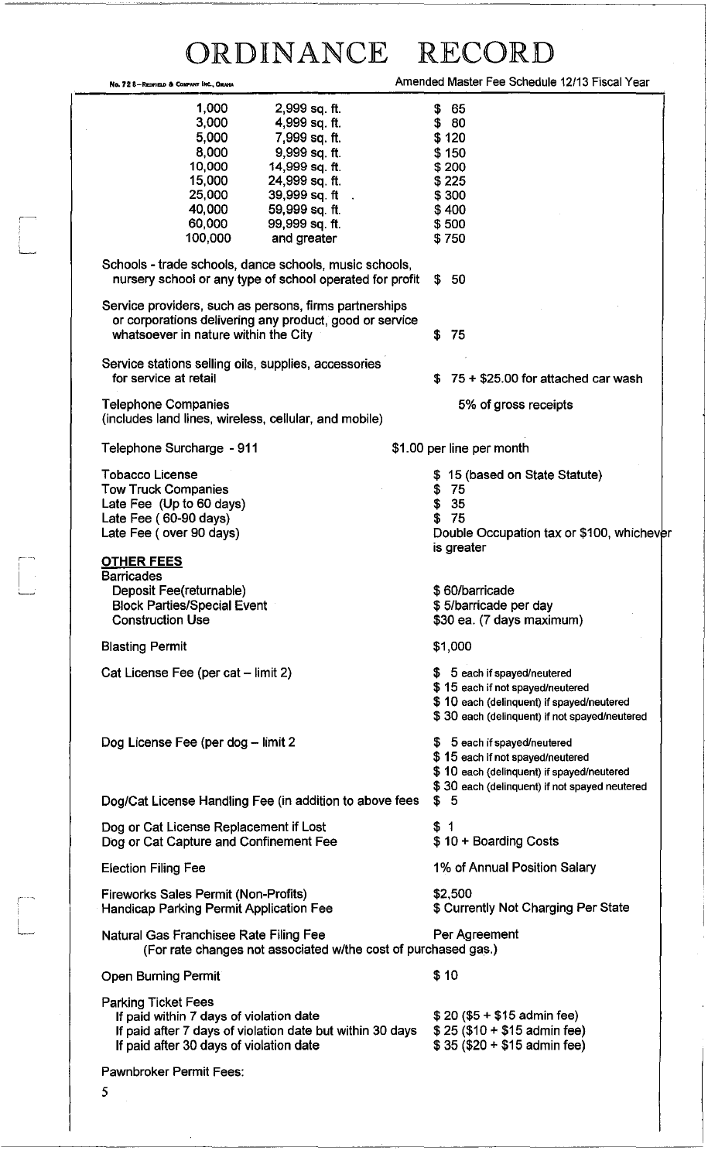|                                                                                                                                                           | ORDINANCE                                                                                                          | RECORE                                                                                                                                                                |
|-----------------------------------------------------------------------------------------------------------------------------------------------------------|--------------------------------------------------------------------------------------------------------------------|-----------------------------------------------------------------------------------------------------------------------------------------------------------------------|
| No. 72 8-REDFIELD & COMPANY INC., OMAHA                                                                                                                   |                                                                                                                    | Amended Master Fee Schedule 12/13 Fiscal Year                                                                                                                         |
| 1,000<br>3,000<br>5,000<br>8,000                                                                                                                          | 2,999 sq. ft.<br>4,999 sq. ft.<br>7,999 sq. ft.<br>9,999 sq. ft.                                                   | \$ 65<br>\$80<br>\$120<br>\$150                                                                                                                                       |
| 10,000<br>15,000<br>25,000<br>40,000                                                                                                                      | 14,999 sq. ft.<br>24,999 sq. ft.<br>39,999 sq. ft .<br>59,999 sq. ft.                                              | \$200<br>\$225<br>\$300<br>\$400                                                                                                                                      |
| 60,000<br>100,000                                                                                                                                         | 99,999 sq. ft.<br>and greater                                                                                      | \$500<br>\$750                                                                                                                                                        |
|                                                                                                                                                           | Schools - trade schools, dance schools, music schools,<br>nursery school or any type of school operated for profit | 50<br>S.                                                                                                                                                              |
| whatsoever in nature within the City                                                                                                                      | Service providers, such as persons, firms partnerships<br>or corporations delivering any product, good or service  | 75<br>\$                                                                                                                                                              |
| for service at retail                                                                                                                                     | Service stations selling oils, supplies, accessories                                                               | $75 + $25.00$ for attached car wash<br>S.                                                                                                                             |
| <b>Telephone Companies</b>                                                                                                                                | (includes land lines, wireless, cellular, and mobile)                                                              | 5% of gross receipts                                                                                                                                                  |
| Telephone Surcharge - 911                                                                                                                                 |                                                                                                                    | \$1.00 per line per month                                                                                                                                             |
| <b>Tobacco License</b><br><b>Tow Truck Companies</b><br>Late Fee (Up to 60 days)<br>Late Fee (60-90 days)<br>Late Fee (over 90 days)<br><b>OTHER FEES</b> |                                                                                                                    | \$15 (based on State Statute)<br>\$75<br>35<br>\$<br>75<br>\$<br>Double Occupation tax or \$100, whichever<br>is greater                                              |
| <b>Barricades</b><br>Deposit Fee(returnable)<br><b>Block Parties/Special Event</b><br><b>Construction Use</b>                                             |                                                                                                                    | \$60/barricade<br>\$5/barricade per day<br>\$30 ea. (7 days maximum)                                                                                                  |
| <b>Blasting Permit</b>                                                                                                                                    |                                                                                                                    | \$1,000                                                                                                                                                               |
| Cat License Fee (per cat - limit 2)                                                                                                                       |                                                                                                                    | \$ 5 each if spayed/neutered<br>\$15 each if not spayed/neutered<br>\$10 each (delinquent) if spayed/neutered<br>\$30 each (delinquent) if not spayed/neutered        |
| Dog License Fee (per dog - limit 2                                                                                                                        | Dog/Cat License Handling Fee (in addition to above fees                                                            | \$ 5 each if spayed/neutered<br>\$15 each if not spayed/neutered<br>\$10 each (delinquent) if spayed/neutered<br>\$30 each (delinquent) if not spayed neutered<br>\$5 |
| Dog or Cat License Replacement if Lost                                                                                                                    |                                                                                                                    | \$1                                                                                                                                                                   |
| Dog or Cat Capture and Confinement Fee<br><b>Election Filing Fee</b>                                                                                      |                                                                                                                    | \$10 + Boarding Costs<br>1% of Annual Position Salary                                                                                                                 |
| <b>Fireworks Sales Permit (Non-Profits)</b><br>Handicap Parking Permit Application Fee                                                                    |                                                                                                                    | \$2,500<br>\$ Currently Not Charging Per State                                                                                                                        |
| Natural Gas Franchisee Rate Filing Fee                                                                                                                    | (For rate changes not associated w/the cost of purchased gas.)                                                     | Per Agreement                                                                                                                                                         |
| <b>Open Burning Permit</b>                                                                                                                                |                                                                                                                    | \$10                                                                                                                                                                  |
| <b>Parking Ticket Fees</b><br>If paid within 7 days of violation date<br>If paid after 30 days of violation date                                          | If paid after 7 days of violation date but within 30 days                                                          | $$20 ($5 + $15$)$ admin fee)<br>$$25 ($10 + $15$ admin fee)<br>$$35 ($20 + $15$$ admin fee)                                                                           |
| Pawnbroker Permit Fees:                                                                                                                                   |                                                                                                                    |                                                                                                                                                                       |
| 5                                                                                                                                                         |                                                                                                                    |                                                                                                                                                                       |

,----,

 $\downarrow$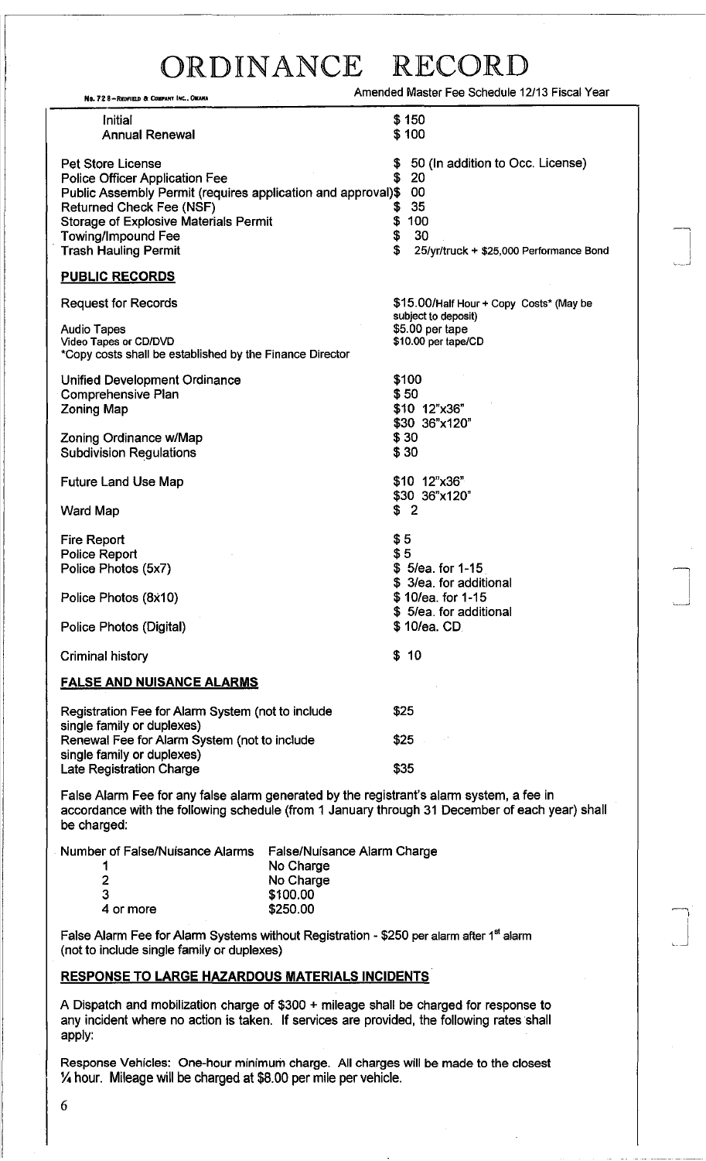| No. 72 8-Redfield & Company Inc., Omaha                                                                                                                                                                                                                                   | Amended Master Fee Schedule 12/13 Fiscal Year                                                                          |  |  |
|---------------------------------------------------------------------------------------------------------------------------------------------------------------------------------------------------------------------------------------------------------------------------|------------------------------------------------------------------------------------------------------------------------|--|--|
| Initial<br><b>Annual Renewal</b>                                                                                                                                                                                                                                          | \$150<br>\$100                                                                                                         |  |  |
| <b>Pet Store License</b><br>Police Officer Application Fee<br>Public Assembly Permit (requires application and approval)\$<br><b>Returned Check Fee (NSF)</b><br><b>Storage of Explosive Materials Permit</b><br><b>Towing/Impound Fee</b><br><b>Trash Hauling Permit</b> | 50 (In addition to Occ. License)<br>20<br>00<br>35<br>100<br>\$<br>\$<br>30<br>25/yr/truck + \$25,000 Performance Bond |  |  |
| <b>PUBLIC RECORDS</b>                                                                                                                                                                                                                                                     |                                                                                                                        |  |  |
| <b>Request for Records</b>                                                                                                                                                                                                                                                | \$15.00/Half Hour + Copy Costs* (May be                                                                                |  |  |
| <b>Audio Tapes</b><br>Video Tapes or CD/DVD<br>*Copy costs shall be established by the Finance Director                                                                                                                                                                   | subject to deposit)<br>\$5.00 per tape<br>\$10.00 per tape/CD                                                          |  |  |
| <b>Unified Development Ordinance</b><br><b>Comprehensive Plan</b><br><b>Zoning Map</b>                                                                                                                                                                                    | \$100<br>\$50<br>\$10 12"x36"<br>\$30 36"x120"                                                                         |  |  |
| Zoning Ordinance w/Map<br><b>Subdivision Regulations</b>                                                                                                                                                                                                                  | \$30<br>\$30                                                                                                           |  |  |
| <b>Future Land Use Map</b>                                                                                                                                                                                                                                                | \$10 12"x36"<br>\$30 36"x120"                                                                                          |  |  |
| <b>Ward Map</b>                                                                                                                                                                                                                                                           | $\overline{2}$<br>\$                                                                                                   |  |  |
| <b>Fire Report</b><br><b>Police Report</b><br>Police Photos (5x7)                                                                                                                                                                                                         | \$5<br>\$5<br>$$5/ea.$ for 1-15<br>3/ea. for additional                                                                |  |  |
| Police Photos (8x10)                                                                                                                                                                                                                                                      | \$10/ea. for 1-15<br>\$5/ea. for additional                                                                            |  |  |
| Police Photos (Digital)                                                                                                                                                                                                                                                   | \$10/ea. CD.                                                                                                           |  |  |
| <b>Criminal history</b>                                                                                                                                                                                                                                                   | \$10                                                                                                                   |  |  |
| <b>FALSE AND NUISANCE ALARMS</b>                                                                                                                                                                                                                                          |                                                                                                                        |  |  |
| Registration Fee for Alarm System (not to include<br>single family or duplexes)                                                                                                                                                                                           | \$25                                                                                                                   |  |  |
| Renewal Fee for Alarm System (not to include<br>single family or duplexes)                                                                                                                                                                                                | \$25                                                                                                                   |  |  |

False Alarm Fee for any false alarm generated by the registrant's alarm system, a fee in accordance with the following schedule (from 1 January through 31 December of each year) shall be charged:

Number of False/Nuisance Alarms False/Nuisance Alarm Charge 1

| $r$ or False/Nuisance Alarms $r$ False/Nuisance Alarm $\cup$ |           |
|--------------------------------------------------------------|-----------|
| -1                                                           | No Charge |
| $\overline{2}$                                               | No Charge |
| 3                                                            | \$100.00  |
| 4 or more                                                    | \$250.00  |
|                                                              |           |

False Alarm Fee for Alarm Systems without Registration - \$250 per alarm after  $1<sup>st</sup>$  alarm (not to include single family or duplexes)

#### **RESPONSE TO LARGE HAZARDOUS MATERIALS INCIDENTS**

Late Registration Charge **\$35** 

A Dispatch and mobilization charge of \$300 + mileage shall be charged for response to any incident where no action is taken. If services are provided, the following rates shall apply:

Response Vehicles: One-hour minimum charge. All charges will be made to the closest *Yo* hour. Mileage will be charged at \$8.00 per mile per vehicle.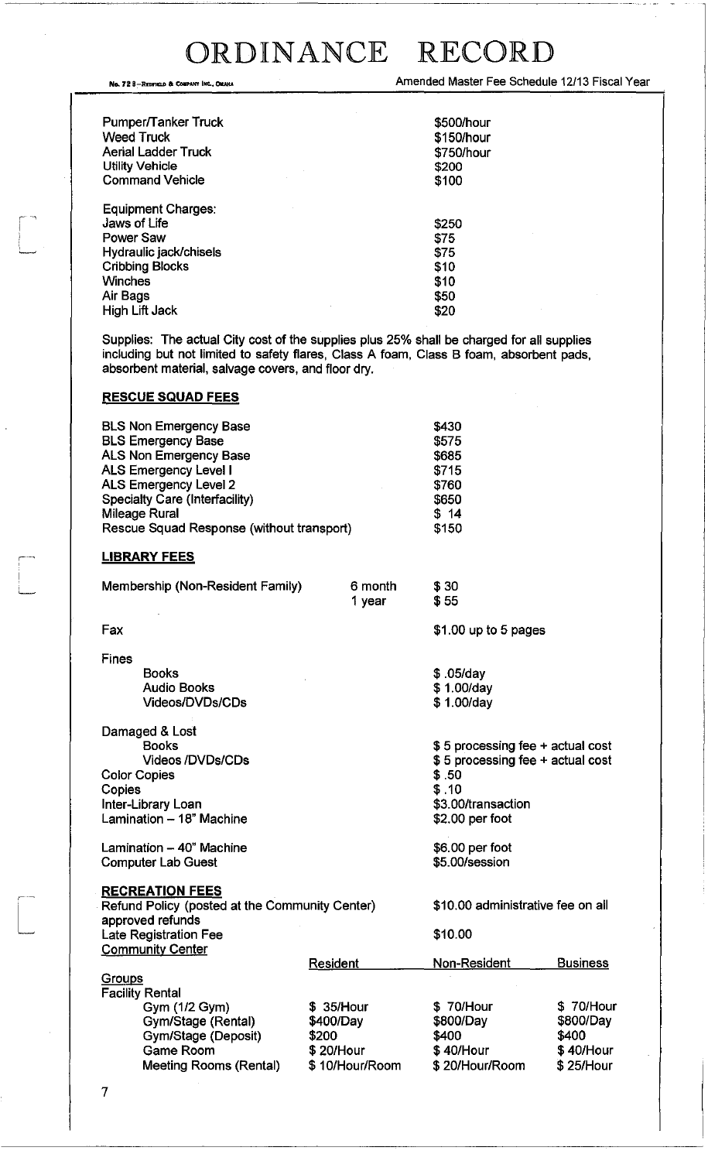No. 72 8-REDFIELD & COMPARY INC., OMAHA (NOTE) 2011 12/13 FISCAL Year

| Pumper/Tanker Truck<br><b>Weed Truck</b><br><b>Aerial Ladder Truck</b><br><b>Utility Vehicle</b><br><b>Command Vehicle</b> | \$500/hour<br>\$150/hour<br>\$750/hour<br>\$200<br>\$100 |
|----------------------------------------------------------------------------------------------------------------------------|----------------------------------------------------------|
| Equipment Charges:                                                                                                         |                                                          |
| Jaws of Life                                                                                                               | \$250                                                    |
| <b>Power Saw</b>                                                                                                           | \$75                                                     |
| Hydraulic jack/chisels                                                                                                     | \$75                                                     |
| <b>Cribbing Blocks</b>                                                                                                     | \$10                                                     |
| <b>Winches</b>                                                                                                             | \$10                                                     |
| Air Bags                                                                                                                   | \$50                                                     |
| <b>High Lift Jack</b>                                                                                                      | \$20                                                     |

Supplies: The actual City cost of the supplies plus 25% shall be charged for all supplies including but not limited to safety flares, Class A foam, Class B foam, absorbent pads, absorbent material, salvage covers, and floor dry.

> \$30 \$55

\$ .05/day \$ 1.00/day \$ 1.00/day

\$.50 \$ .10

\$3.00/transaction \$2.00 per foot

\$6.00 per foot \$5.00/session

\$ 40/Hour

\$ 20/Hour/Room

\$ 40/Hour \$ 25/Hour

\$1.00 up to 5 pages

\$ 5 processing fee + actual cost \$ 5 processing fee + actual cost

#### **RESCUE SQUAD FEES**

| <b>BLS Non Emergency Base</b>             | \$430 |
|-------------------------------------------|-------|
| <b>BLS Emergency Base</b>                 | \$575 |
| ALS Non Emergency Base                    | \$685 |
| <b>ALS Emergency Level I</b>              | \$715 |
| ALS Emergency Level 2                     | \$760 |
| Specialty Care (Interfacility)            | \$650 |
| <b>Mileage Rural</b>                      | \$14  |
| Rescue Squad Response (without transport) | \$150 |

#### **LIBRARY FEES**

| Membership (Non-Resident Family) | 6 month | \$ |
|----------------------------------|---------|----|
|                                  | 1 year  | \$ |

Fax

 $\begin{bmatrix} 1 \\ 1 \end{bmatrix}$ 

':.......,

Fines Books Audio Books

Videos/DVDs/CDs Damaged & Lost Books Videos /DVDs/CDs

Color Copies Copies Inter-Library Loan Lamination - 18" Machine

Lamination  $-40$ " Machine Computer Lab Guest

Game Room

Meeting Rooms (Rental)

**RECREATION FEES** 

| Refund Policy (posted at the Community Center) |                 | \$10.00 administrative fee on all |                 |
|------------------------------------------------|-----------------|-----------------------------------|-----------------|
| approved refunds                               |                 |                                   |                 |
| <b>Late Registration Fee</b>                   |                 | \$10.00                           |                 |
| <b>Community Center</b>                        |                 |                                   |                 |
|                                                | <b>Resident</b> | Non-Resident                      | <b>Business</b> |
| Groups                                         |                 |                                   |                 |
| <b>Facility Rental</b>                         |                 |                                   |                 |
| Gym (1/2 Gym)                                  | \$35/Hour       | \$70/Hour                         | \$ 70/Hour      |
| Gym/Stage (Rental)                             | \$400/Day       | \$800/Day                         | \$800/Day       |
| Gym/Stage (Deposit)                            | \$200           | \$400                             | \$400           |

\$ 10/Hour/Room

\$ 20/Hour

7

j---

 $\begin{bmatrix} \phantom{-} \\ \phantom{-} \end{bmatrix}$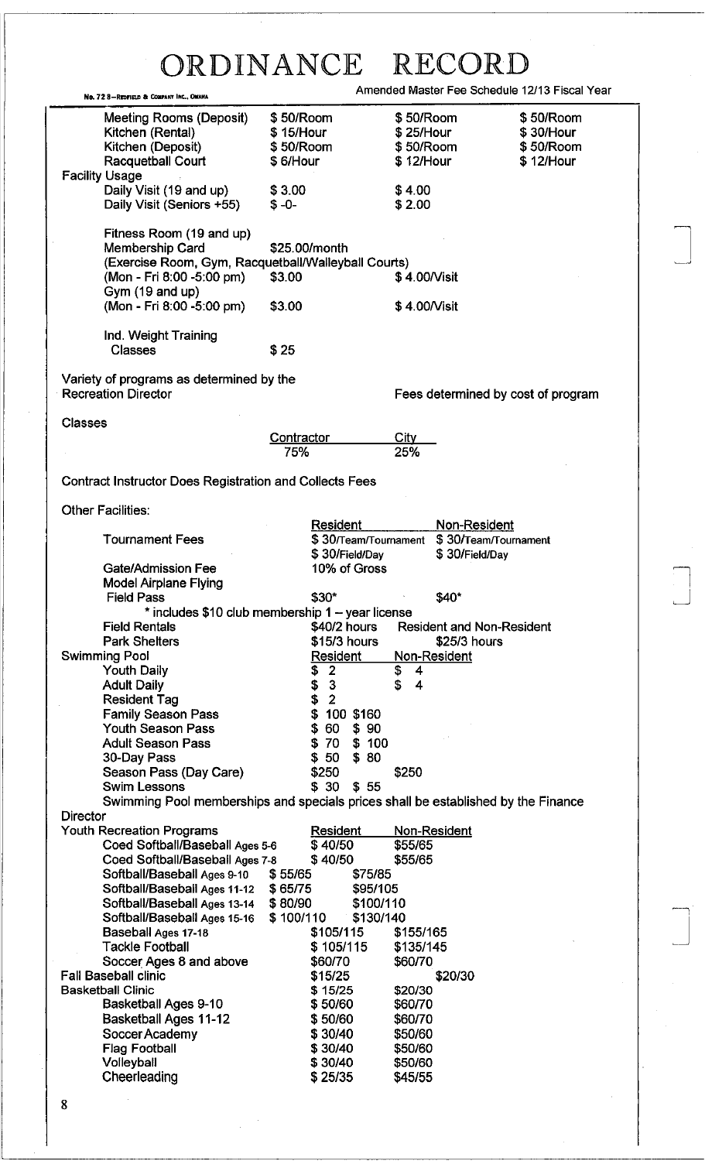|                                                                                                                                                    | ORDINANCE                                                 | $R$ F)                                                                                                 |
|----------------------------------------------------------------------------------------------------------------------------------------------------|-----------------------------------------------------------|--------------------------------------------------------------------------------------------------------|
| No. 72 8-Redfield & Company Inc., OMAHA                                                                                                            |                                                           | Amended Master Fee Schedule 12/13 Fiscal Year                                                          |
| Meeting Rooms (Deposit)<br>Kitchen (Rental)<br>Kitchen (Deposit)<br><b>Racquetball Court</b>                                                       | \$50/Room<br>\$15/Hour<br>\$50/Room<br>\$6/Hour           | \$50/Room<br>\$50/Room<br>\$25/Hour<br>\$30/Hour<br>\$50/Room<br>\$50/Room<br>$$12/$ Hour<br>\$12/Hour |
| <b>Facility Usage</b><br>Daily Visit (19 and up)<br>Daily Visit (Seniors +55)                                                                      | \$3.00<br>$$ -0-$                                         | \$4.00<br>\$2.00                                                                                       |
| Fitness Room (19 and up)<br>Membership Card<br>(Exercise Room, Gym, Racquetball/Walleyball Courts)<br>(Mon - Fri 8:00 -5:00 pm)<br>Gym (19 and up) | \$25.00/month<br>\$3.00                                   | \$4.00/Visit                                                                                           |
| (Mon - Fri 8:00 -5:00 pm)<br>Ind. Weight Training<br><b>Classes</b>                                                                                | \$3.00<br>\$25                                            | \$4.00/Visit                                                                                           |
| Variety of programs as determined by the<br><b>Recreation Director</b>                                                                             |                                                           | Fees determined by cost of program                                                                     |
| <b>Classes</b>                                                                                                                                     |                                                           |                                                                                                        |
|                                                                                                                                                    | <b>Contractor</b><br>75%                                  | City<br>25%                                                                                            |
| <b>Contract Instructor Does Registration and Collects Fees</b>                                                                                     |                                                           |                                                                                                        |
| <b>Other Facilities:</b>                                                                                                                           |                                                           |                                                                                                        |
| <b>Tournament Fees</b>                                                                                                                             | Resident<br>\$ 30/Теат/Tournament<br>\$30/Field/Day       | Non-Resident<br>\$30/Team/Tournament<br>\$30/Field/Day                                                 |
| <b>Gate/Admission Fee</b><br><b>Model Airplane Flying</b>                                                                                          | 10% of Gross                                              |                                                                                                        |
| <b>Field Pass</b>                                                                                                                                  | \$30*<br>* includes \$10 club membership 1 - year license | \$40*                                                                                                  |
| <b>Field Rentals</b><br><b>Park Shelters</b>                                                                                                       | \$40/2 hours<br>\$15/3 hours                              | <b>Resident and Non-Resident</b><br>$$25/3$ hours                                                      |
| <b>Swimming Pool</b>                                                                                                                               | Resident                                                  | Non-Resident                                                                                           |
| <b>Youth Daily</b><br><b>Adult Daily</b>                                                                                                           | $\overline{2}$<br>\$<br>\$<br>3                           | \$<br>4<br>\$<br>4                                                                                     |
| <b>Resident Tag</b>                                                                                                                                | \$<br>$\overline{2}$                                      |                                                                                                        |
| <b>Family Season Pass</b><br><b>Youth Season Pass</b>                                                                                              | \$<br>100 \$160<br>\$<br>60<br>\$90                       |                                                                                                        |
| <b>Adult Season Pass</b>                                                                                                                           | \$70<br>\$100                                             |                                                                                                        |
| 30-Day Pass                                                                                                                                        | \$80<br>\$50                                              |                                                                                                        |
| Season Pass (Day Care)<br><b>Swim Lessons</b>                                                                                                      | \$250<br>\$30<br>\$55                                     | \$250                                                                                                  |
|                                                                                                                                                    |                                                           | Swimming Pool memberships and specials prices shall be established by the Finance                      |
| <b>Director</b>                                                                                                                                    |                                                           |                                                                                                        |
| <b>Youth Recreation Programs</b><br>Coed Softball/Baseball Ages 5-6                                                                                | <b>Resident</b><br>\$40/50                                | Non-Resident<br>\$55/65                                                                                |
| Coed Softball/Baseball Ages 7-8                                                                                                                    | \$40/50                                                   | \$55/65                                                                                                |
| Softball/Baseball Ages 9-10<br>Softball/Baseball Ages 11-12 \$ 65/75                                                                               | \$55/65<br>\$75/85<br>\$95/105                            |                                                                                                        |
| Softball/Baseball Ages 13-14 \$80/90                                                                                                               | \$100/110                                                 |                                                                                                        |
| Softball/Baseball Ages 15-16                                                                                                                       | \$100/110<br>\$130/140                                    |                                                                                                        |
| Baseball Ages 17-18<br><b>Tackle Football</b>                                                                                                      | \$105/115<br>\$105/115                                    | \$155/165<br>\$135/145                                                                                 |
| Soccer Ages 8 and above                                                                                                                            | \$60/70                                                   | \$60/70                                                                                                |
| <b>Fall Baseball clinic</b>                                                                                                                        | \$15/25                                                   | \$20/30                                                                                                |
| <b>Basketball Clinic</b><br>Basketball Ages 9-10                                                                                                   | \$15/25<br>\$50/60                                        | \$20/30<br>\$60/70                                                                                     |
| <b>Basketball Ages 11-12</b>                                                                                                                       | \$50/60                                                   | \$60/70                                                                                                |
| Soccer Academy                                                                                                                                     | \$30/40                                                   | \$50/60                                                                                                |
| <b>Flag Football</b>                                                                                                                               | \$30/40                                                   | \$50/60                                                                                                |
| Volleyball<br>Cheerleading                                                                                                                         | \$30/40<br>\$25/35                                        | \$50/60<br>\$45/55                                                                                     |

 $\Box$ 

J

8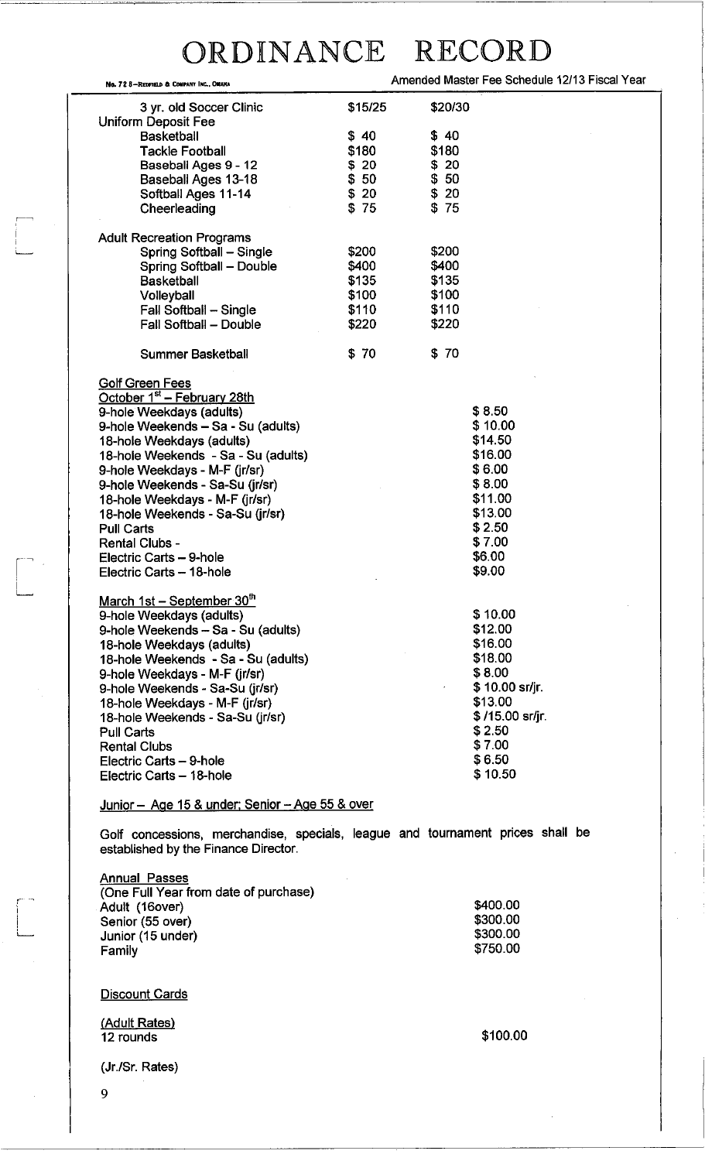| No. 72 S-Redfield & Conpany Inc., Onaha                                                                                                                                                                                                                                                                                                                                                                                                                |         | Amended Master Fee Schedule 12/13 Fiscal Year                                                                                               |
|--------------------------------------------------------------------------------------------------------------------------------------------------------------------------------------------------------------------------------------------------------------------------------------------------------------------------------------------------------------------------------------------------------------------------------------------------------|---------|---------------------------------------------------------------------------------------------------------------------------------------------|
| 3 yr. old Soccer Clinic<br>Uniform Deposit Fee                                                                                                                                                                                                                                                                                                                                                                                                         | \$15/25 | \$20/30                                                                                                                                     |
| <b>Basketball</b>                                                                                                                                                                                                                                                                                                                                                                                                                                      | \$40    | \$40                                                                                                                                        |
| <b>Tackle Football</b>                                                                                                                                                                                                                                                                                                                                                                                                                                 | \$180   | \$180                                                                                                                                       |
|                                                                                                                                                                                                                                                                                                                                                                                                                                                        |         |                                                                                                                                             |
| Baseball Ages 9 - 12                                                                                                                                                                                                                                                                                                                                                                                                                                   | \$20    | \$20                                                                                                                                        |
| Baseball Ages 13-18                                                                                                                                                                                                                                                                                                                                                                                                                                    | \$50    | \$50                                                                                                                                        |
| Softball Ages 11-14                                                                                                                                                                                                                                                                                                                                                                                                                                    | \$20    | \$20                                                                                                                                        |
| Cheerleading                                                                                                                                                                                                                                                                                                                                                                                                                                           | \$75    | \$75                                                                                                                                        |
| <b>Adult Recreation Programs</b>                                                                                                                                                                                                                                                                                                                                                                                                                       |         |                                                                                                                                             |
| Spring Softball - Single                                                                                                                                                                                                                                                                                                                                                                                                                               | \$200   | \$200                                                                                                                                       |
| Spring Softball - Double                                                                                                                                                                                                                                                                                                                                                                                                                               | \$400   | \$400                                                                                                                                       |
| <b>Basketball</b>                                                                                                                                                                                                                                                                                                                                                                                                                                      | \$135   | \$135                                                                                                                                       |
| Volleyball                                                                                                                                                                                                                                                                                                                                                                                                                                             | \$100   | \$100                                                                                                                                       |
| Fall Softball - Single                                                                                                                                                                                                                                                                                                                                                                                                                                 | \$110   | \$110                                                                                                                                       |
|                                                                                                                                                                                                                                                                                                                                                                                                                                                        |         |                                                                                                                                             |
| Fall Softball - Double                                                                                                                                                                                                                                                                                                                                                                                                                                 | \$220   | \$220                                                                                                                                       |
| <b>Summer Basketball</b>                                                                                                                                                                                                                                                                                                                                                                                                                               | \$70    | \$70                                                                                                                                        |
| <b>Golf Green Fees</b><br>October 1 <sup>st</sup> – February 28th<br>9-hole Weekdays (adults)<br>9-hole Weekends - Sa - Su (adults)<br>18-hole Weekdays (adults)<br>18-hole Weekends - Sa - Su (adults)<br>9-hole Weekdays - M-F (jr/sr)<br>9-hole Weekends - Sa-Su (jr/sr)<br>18-hole Weekdays - M-F (jr/sr)<br>18-hole Weekends - Sa-Su (jr/sr)<br><b>Pull Carts</b><br><b>Rental Clubs -</b><br>Electric Carts - 9-hole<br>Electric Carts - 18-hole |         | \$8.50<br>\$10.00<br>\$14.50<br>\$16.00<br>\$6.00<br>\$8.00<br>\$11.00<br>\$13.00<br>\$2.50<br>\$7.00<br>\$6.00<br>\$9.00                   |
| March 1st - September 30th<br>9-hole Weekdays (adults)<br>9-hole Weekends - Sa - Su (adults)<br>18-hole Weekdays (adults)<br>18-hole Weekends - Sa - Su (adults)<br>9-hole Weekdays - M-F (jr/sr)<br>9-hole Weekends - Sa-Su (jr/sr)<br>18-hole Weekdays - M-F (jr/sr)<br>18-hole Weekends - Sa-Su (jr/sr)<br>Pull Carts<br><b>Rental Clubs</b><br>Electric Carts - 9-hole<br>Electric Carts - 18-hole                                                 |         | \$10.00<br>\$12.00<br>\$16.00<br>\$18.00<br>\$8.00<br>\$10.00 sr/jr.<br>\$13.00<br>$$15.00$ sr/jr.<br>\$2.50<br>\$7.00<br>\$6.50<br>\$10.50 |

Junior - Age 15 & under: Senior - Age 55 & over

Golf concessions, merchandise, specials, league and tournament prices shall be established by the Finance Director.

Annual Passes (One Full Year from date of purchase) Adult (16over) Senior (55 over) Junior (15 under) Family \$400.00 \$300.00 \$300.00 \$750.00

**Discount Cards** 

(Adult Rates) 12 rounds

\$100.00

(Jr.lSr. Rates)

9

I i. i<br>L<sub>--------</sub>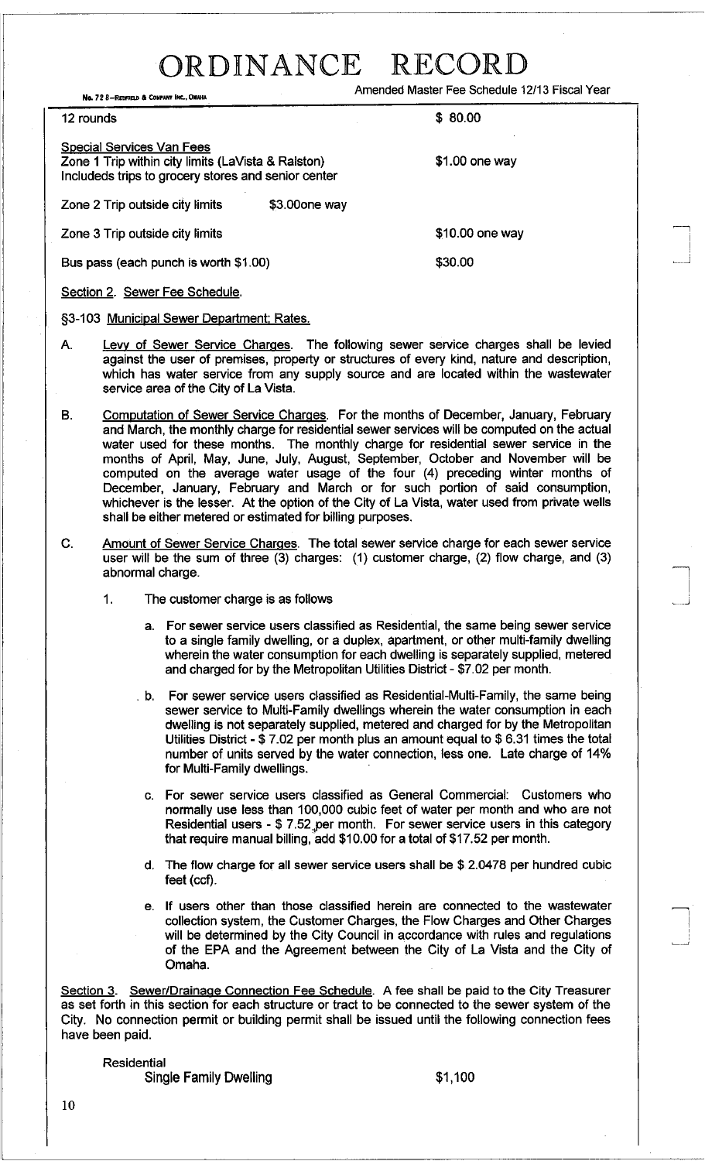No. 72 8-REDFIELD & COMPANY INC., OMAHA **AND AMENDED ASSESSMENT PROPERTY OF A COMPANY** AND THE SCHEDULE 12/13 Fiscal Year

 $12$  rounds  $$80.00$ 

Special Services Van Fees Zone 1 Trip within city limits (LaVista & Ralston) Includeds trips to grocery stores and senior center

Zone 2 Trip outside city limits \$3.000ne way

\$1.00 one way

—<br>—<br>1 I I  $\Box$ 

 $\Box$ 

<u>m</u> ! ,

Zone 3 Trip outside city limits **\$10.00** one way

Bus pass (each punch is worth \$1.00) \$30.00

Section 2. Sewer Fee Schedule.

§3-103 Municipal Sewer Department; Rates.

- A. Levy of Sewer Service Charges. The following sewer service charges shall be levied against the user of premises, property or structures of every kind, nature and description, which has water service from any supply source and are located within the wastewater service area of the City of La Vista.
- B. Computation of Sewer Service Charges. For the months of December, January, February and March, the monthly charge for residential sewer services will be computed on the actual water used for these months. The monthly charge for residential sewer service in the months of April, May, June, July, August, September, October and November will be computed on the average water usage of the four (4) preceding winter months of December, January, February and March or for such portion of said consumption, whichever is the lesser. At the option of the City of La Vista, water used from private wells shall be either metered or estimated for billing purposes.
- C. Amount of Sewer Service Charges. The total sewer service charge for each sewer service user will be the sum of three (3) charges: (1) customer charge, (2) flow charge, and (3) abnormal charge.
	- 1. The customer charge is as follows
		- a. For sewer service users classified as Residential, the same being sewer service to a single family dwelling, or a duplex, apartment, or other multi-family dwelling wherein the water consumption for each dwelling is separately supplied, metered and charged for by the Metropolitan Utilities District - \$7.02 per month.
		- . b. For sewer service users classified as Residential-Multi-Family, the same being sewer service to Multi-Family dwellings wherein the water consumption in each dwelling is not separately supplied, metered and charged for by the Metropolitan Utilities District - \$ 7.02 per month plus an amount equal to \$ 6.31 times the total number of units served by the water connection, less one. Late charge of 14% for Multi-Family dwellings.
		- c. For sewer service users classified as General Commercial: Customers who normally use less than 100,000 cubic feet of water per month and who are not Residential users - \$ 7.52,per month. For sewer service users in this category that require manual billing, add \$10.00 for a total of \$17.52 per month.
		- d. The flow charge for all sewer service users shall be \$ 2.0478 per hundred cubic feet (ccf).
		- e. If users other than those classified herein are connected to the wastewater collection system, the Customer Charges, the Flow Charges and Other Charges will be determined by the City Council in accordance with rules and regulations of the EPA and the Agreement between the City of La Vista and the City of Omaha.

Section 3. Sewer/Drainage Connection Fee Schedule. A fee shall be paid to the City Treasurer as set forth in this section for each structure or tract to be connected to the sewer system of the City. No connection permit or building permit shall be issued until the following connection fees have been paid.

Residential Single Family Dwelling **\$1,100**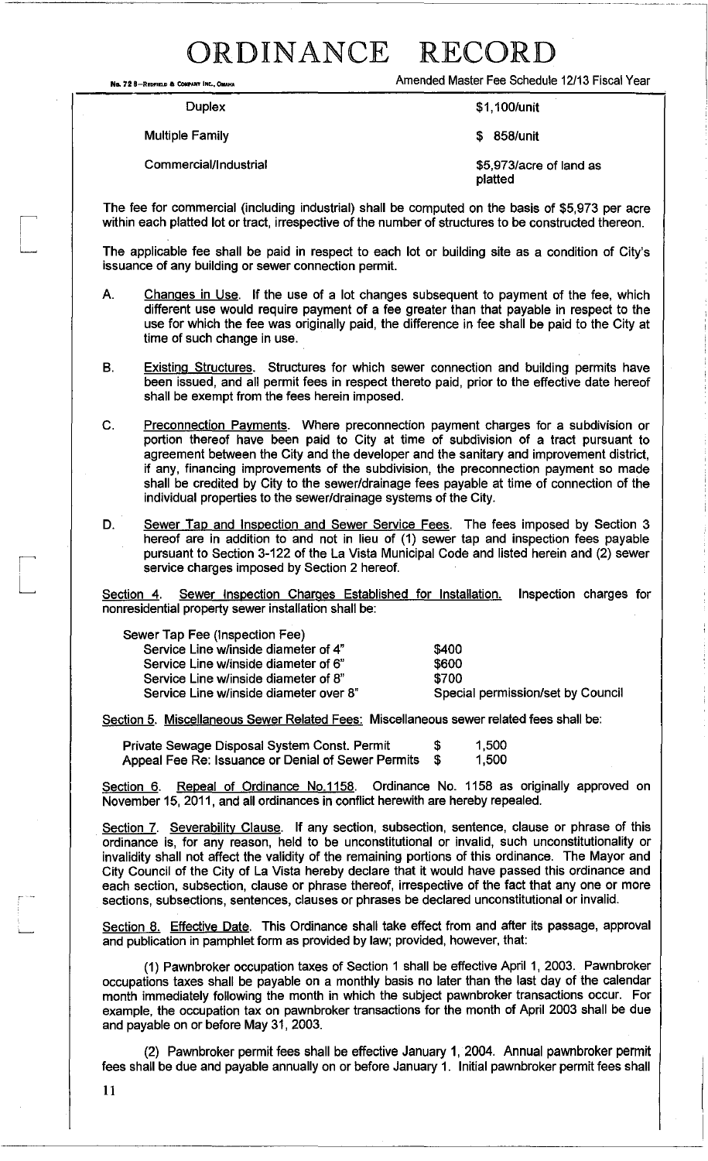**No. 72 8-RrDFInD a COMPANY INt., 0Iu.HA** 

Amended Master Fee Schedule 12/13 Fiscal Year

**Duplex** 

Multiple Family

Commercial/Industrial

\$1,100/unit

\$ 858/unit

\$5,973/acre of land as platted

The fee for commercial (including industrial) shall be computed on the basis of \$5,973 per acre within each platted lot or tract, irrespective of the number of structures to be constructed thereon.

The applicable fee shall be paid in respect to each lot or building site as a condition of City's issuance of any building or sewer connection permit.

- A. Changes in Use. **If** the use of a lot changes subsequent to payment of the fee, which different use would require payment of a fee greater than that payable in respect to the use for which the fee was originally paid, the difference in fee shall be paid to the City at time of such change in use.
- B. Existing Structures. Structures for which sewer connection and building permits have been issued, and all permit fees in respect thereto paid, prior to the effective date hereof shall be exempt from the fees herein imposed.

C. Preconnection Payments. Where preconnection payment charges for a subdivision or portion thereof have been paid to City at time of subdivision of a tract pursuant to agreement between the City and the developer and the sanitary and improvement district, if any, financing improvements of the subdivision, the preconnection payment so made shall be credited by City to the sewer/drainage fees payable at time of connection of the individual properties to the sewer/drainage systems of the City.

D. Sewer Tap and Inspection and Sewer Service Fees. The fees imposed by Section 3 hereof are in addition to and not in lieu of (1) sewer tap and inspection fees payable pursuant to Section 3-122 of the La Vista Municipal Code and listed herein and (2) sewer service charges imposed by Section 2 hereof.

Section 4. Sewer Inspection Charges Established for Installation. Inspection charges for nonresidential property sewer installation shall be:

> \$400 \$600 \$700

Special permission/set by Council

| Sewer Tap Fee (Inspection Fee)         |  |
|----------------------------------------|--|
| Service Line w/inside diameter of 4"   |  |
| Service Line w/inside diameter of 6"   |  |
| Service Line w/inside diameter of 8"   |  |
| Service Line w/inside diameter over 8" |  |

Section 5. Miscellaneous Sewer Related Fees: Miscellaneous sewer related fees shall be:

| Private Sewage Disposal System Const. Permit       | 1,500 |
|----------------------------------------------------|-------|
| Appeal Fee Re: Issuance or Denial of Sewer Permits | 1,500 |

Section 6. Repeal of Ordinance No.1158. Ordinance No. 1158 as originally approved on November 15, 2011, and all ordinances in conflict herewith are hereby repealed.

Section 7. Severability Clause. If any section, subsection, sentence, clause or phrase of this ordinance is, for any reason, held to be unconstitutional or invalid, such unconstitutionality or invalidity shall not affect the validity of the remaining portions of this ordinance. The Mayor and City Council of the City of La Vista hereby declare that it would have passed this ordinance and each section, subsection, clause or phrase thereof, irrespective of the fact that anyone or more sections, subsections, sentences, clauses or phrases be declared unconstitutional or invalid.

Section 8. Effective Date. This Ordinance shall take effect from and after its passage, approval and publication in pamphlet form as provided by law; provided, however, that:

(1) Pawnbroker occupation taxes of Section 1 shall be effective April 1, 2003. Pawnbroker occupations taxes shall be payable on a monthly basis no later than the last day of the calendar month immediately following the month in which the subject pawnbroker transactions occur. For example, the occupation tax on pawnbroker transactions for the month of April 2003 shall be due and payable on or before May 31, 2003.

(2) Pawnbroker permit fees shall be effective January 1, 2004. Annual pawnbroker permit fees shall be due and payable annually on or before January 1. Initial pawnbroker permit fees shall

11

i L